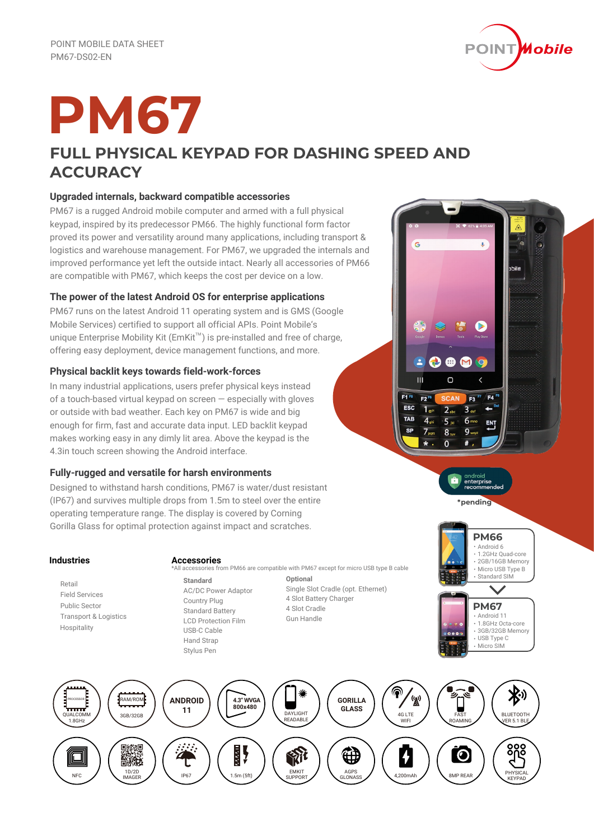

# **PM67**

# **FULL PHYSICAL KEYPAD FOR DASHING SPEED AND ACCURACY**

# **Upgraded internals, backward compatible accessories**

PM67 is a rugged Android mobile computer and armed with a full physical keypad, inspired by its predecessor PM66. The highly functional form factor proved its power and versatility around many applications, including transport & logistics and warehouse management. For PM67, we upgraded the internals and improved performance yet left the outside intact. Nearly all accessories of PM66 are compatible with PM67, which keeps the cost per device on a low.

# **The power of the latest Android OS for enterprise applications**

PM67 runs on the latest Android 11 operating system and is GMS (Google Mobile Services) certified to support all official APIs. Point Mobile's unique Enterprise Mobility Kit ( $EmKit^{\mathbb{M}}$ ) is pre-installed and free of charge, offering easy deployment, device management functions, and more.

# **Physical backlit keys towards field-work-forces**

In many industrial applications, users prefer physical keys instead of a touch-based virtual keypad on screen — especially with gloves or outside with bad weather. Each key on PM67 is wide and big enough for firm, fast and accurate data input. LED backlit keypad makes working easy in any dimly lit area. Above the keypad is the 4.3in touch screen showing the Android interface.

# **Fully-rugged and versatile for harsh environments**

Designed to withstand harsh conditions, PM67 is water/dust resistant (IP67) and survives multiple drops from 1.5m to steel over the entire operating temperature range. The display is covered by Corning Gorilla Glass for optimal protection against impact and scratches.

# **Industries**

 Retail Field Services Public Sector Transport & Logistics Hospitality

# **Accessories**

- **Standard** All accessories from PM66 are compatible with PM67 except for micro USB type B cable
	- AC/DC Power Adaptor Country Plug Standard Battery LCD Protection Film USB-C Cable Hand Strap Stylus Pen

**Optional** Single Slot Cradle (opt. Ethernet) 4 Slot Battery Charger 4 Slot Cradle Gun Handle



 $\mathbf{a}$ 

5

a

**PM66** Android 6 1.2GHz Quad-core 2GB/16GB Memory Micro USB Type B Standard SIN **PM67** Android 11 1.8GHz Octa-core 3GB/32GB Memory USB Type C Micro SIM